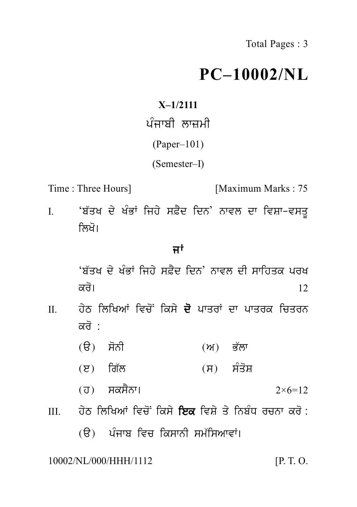## **PC–10002/NL**

**X–1/2111**  $PC-100$ <br> $X-1/2111$ ਪੰਜਾਬੀ ਲਾਜ਼ਮੀ<br>(Paper–101)<br>(Semester D (Paper–101) (Semester–I)

Time : Three Hours] [Maximum Marks : 75

I. (Semester–I)<br>I. 'ਬੱਤਖ ਦੇ ਖੰਭਾਂ ਜਿਹੇ ਸਫ਼ੈਦ ਦਿਨ' ਨਾਵਲ ਦਾ ਵਿਸ਼ਾ–ਵਸਤੂ<br>ਨਿਖੋ।<br>ਵਿਖੋ Three Hours]<br>'ਬੱਤਖ ਦੇ ਖੰਭਾਂ ਜਿਹੇ ਸਫ਼ੈਦ<br>ਲਿਖੋ।<br>ਜਾਂ ਫ਼ੈਦ ਦਿਨ' ਨਾਵਲ ਦਾ ਵਿ<br>**ਜਾਂ**<br>'ਦ ਦਿਨ' ਨਾਵਲ ਦੀ ਸਾਹਿ

ਲਿਖੋ।<br>ਜਾਂ<br>ਅੱਤਖ ਦੇ ਖੰਭਾਂ ਜਿਹੇ ਸਫ਼ੈਦ ਦਿਨ' ਨਾਵਲ ਦੀ ਸਾਹਿਤਕ ਪਰਖ<br>ਕਰੋ। kr o[ <sup>12</sup>

- II. h yT iliKAW ivc oN iks y d o pwqrW dw pwqrk icqrn ਬਤੁਪ ਦ ਖਭਾ ਜਿਹ ਸਫ਼ਦ<br>ਕਰੋ।<br>ਹੇਠ ਲਿਖਿਆਂ ਵਿਚੋਂ ਕਿਸੇ<br>ਕਰੋ :<br>(ੳ) ਸੋਨੀ (a) s onI (A) B `lw (e) ig `l (s) s Mq oS
	-
	-
	-
- (ੳ) ਸੋਨੀ (ਅ) ਭੱਲਾ<br>(ੲ) ਗਿੱਲ (ਸ) ਸੰਤੋਸ਼<br>(ਹ) ਸਕਸੈਨਾ। 2×6=12<br>ਹੇਠ ਲਿਖਿਆਂ ਵਿਚੋਂ ਕਿਸੇ **ਇਕ** ਵਿਸ਼ੇ ਤੇ ਨਿਬੰਧ ਰਚਨਾ ਕਰੋ : III. h yT iliKAW ivc oN iks y iek ivS y q y inb MD rcnw kr o : (ਹ) ਸਕਸੈਨਾ।  $2\times6=12$ ਹੇਠ ਲਿਖਿਆਂ ਵਿਚੋਂ ਕਿਸੇ **ਇਕ** ਵਿਸ਼ੇ ਤੇ ਨਿਬੰਧ ਰਚਨਾ ਕਰੋ :<br>(ੳ) ਪੰਜਾਬ ਵਿਚ ਕਿਸਾਨੀ ਸਮੱਸਿਆਵਾਂ।<br>NL/000/HHH/1112 [P.T.O.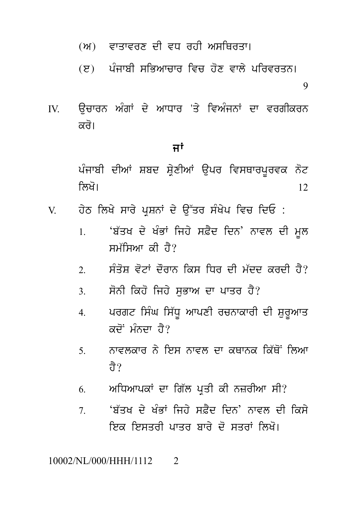- (ਅ) ਵਾਤਾਵਰਣ ਦੀ ਵਧ ਰਹੀ ਅਸਥਿਰਤਾ।
- (ੲ) ਪੰਜਾਬੀ ਸਭਿਆਜਾਰ ਵਿਜ਼ ਹੋਣ ਵਾਲੇ ਪਰਿਵਰਤਨ।

9

ਉਚਾਰਨ ਅੰਗਾਂ ਦੇ ਆਧਾਰ 'ਤੇ ਵਿਅੰਜਨਾਂ ਦਾ ਵਰਗੀਕਰਨ  $\mathbf{W}$ ਕਰੋ।

## ਜਾਂ

ਪੰਜਾਬੀ ਦੀਆਂ ਸ਼ਬਦ ਸ਼ੇਣੀਆਂ ੳਪਰ ਵਿਸਥਾਰਪਰਵਕ ਨੋਟ ਲਿਖੋ। 12

- ਹੇਠ ਲਿਖੇ ਸਾਰੇ ਪੁਸ਼ਨਾਂ ਦੇ ਉੱਤਰ ਸੰਖੇਪ ਵਿਚ ਦਿਓ : V
	- 'ਬੱਤਖ ਦੇ ਖੰਭਾਂ ਜਿਹੇ ਸਫ਼ੈਦ ਦਿਨ' ਨਾਵਲ ਦੀ ਮੁਲ  $\mathbf{1}$ ਸਮੱਸਿਆ ਕੀ ਹੈ?
	- ਸੰਤੋਸ ਵੋਟਾਂ ਦੌਰਾਨ ਕਿਸ ਧਿਰ ਦੀ ਮੱਦਦ ਕਰਦੀ ਹੈ?  $\mathfrak{D}$
	- ਸੋਨੀ ਕਿਹੋ ਜਿਹੇ ਸਭਾਅ ਦਾ ਪਾਤਰ ਹੈ?  $\mathcal{R}$
	- ਪਰਗਟ ਸਿੰਘ ਸਿੱਧੂ ਆਪਣੀ ਰਚਨਾਕਾਰੀ ਦੀ ਸ਼ੁਰੂਆਤ  $\overline{4}$  $\vec{a}$ ਦੋਂ ਮੰਨਦਾ ਹੈ?
	- ਨਾਵਲਕਾਰ ਨੇ ਇਸ ਨਾਵਲ ਦਾ ਕਥਾਨਕ ਕਿੱਥੋਂ ਲਿਆ  $5<sub>1</sub>$ तेे ?
	- ਅਧਿਆਪਕਾਂ ਦਾ ਗਿੱਲ ਪ੍ਰਤੀ ਕੀ ਨਜ਼ਰੀਆ ਸੀ? 6
	- 'ਸ਼ੱਤਖ ਦੇ ਖੰਭਾਂ ਜਿਹੇ ਸਫ਼ੈਦ ਦਿਨ' ਨਾਵਲ ਦੀ ਕਿਸੇ  $\tau$ ਇਕ ਇਸਤਰੀ ਪਾਤਰ ਸਾਰੇ ਦੋ ਸਤਰਾਂ ਲਿਖੋ।

## 10002/NL/000/HHH/1112  $\mathcal{D}_{\alpha}$